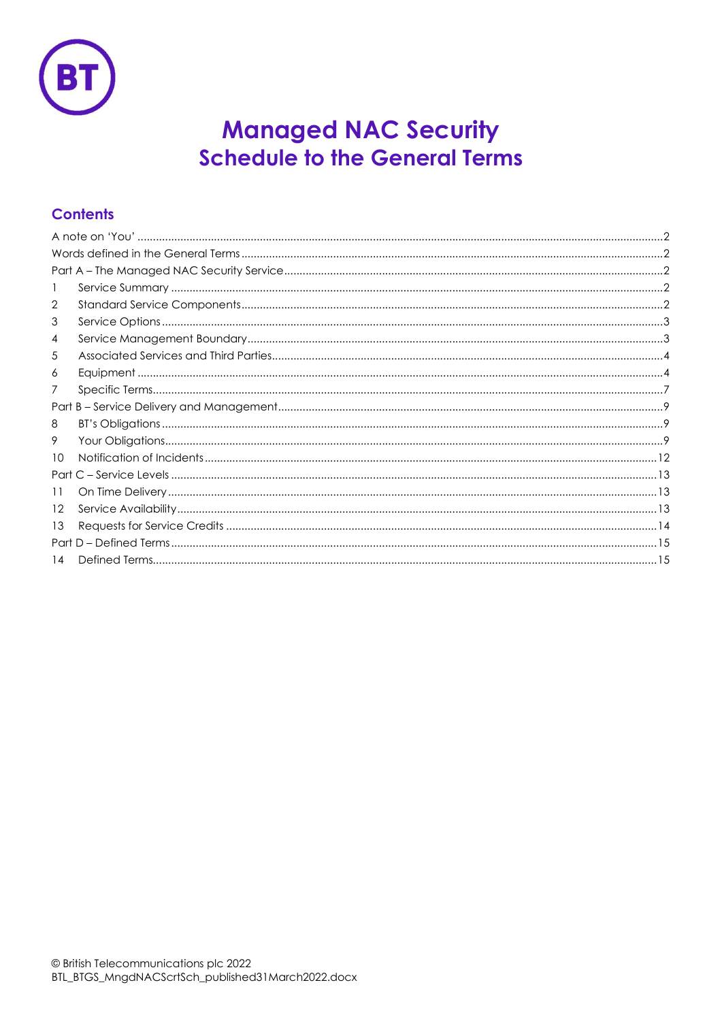

# **Managed NAC Security Schedule to the General Terms**

# **Contents**

| 2  |  |
|----|--|
| 3  |  |
| 4  |  |
| 5  |  |
| 6  |  |
| 7  |  |
|    |  |
| 8  |  |
| 9  |  |
| 10 |  |
|    |  |
| 11 |  |
| 12 |  |
| 13 |  |
|    |  |
| 14 |  |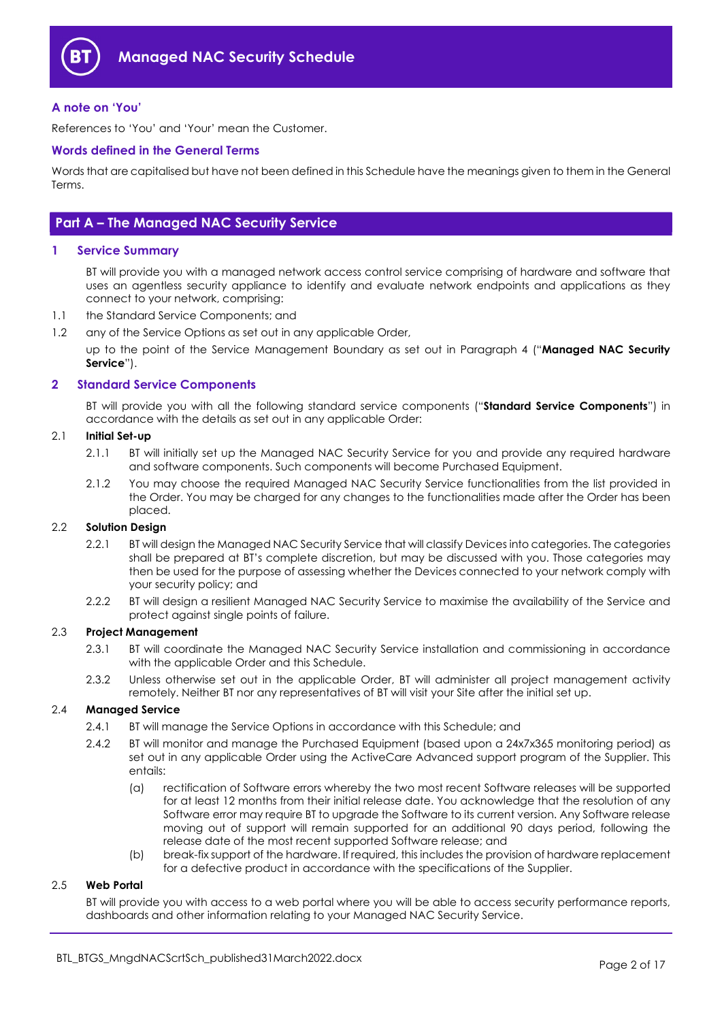

# A note on 'You'

References to 'You' and 'Your' mean the Customer.

## Words defined in the General Terms

Words that are capitalised but have not been defined in this Schedule have the meanings given to them in the General Terms.

# Part A – The Managed NAC Security Service

# 1 Service Summary

BT will provide you with a managed network access control service comprising of hardware and software that uses an agentless security appliance to identify and evaluate network endpoints and applications as they connect to your network, comprising:

- 1.1 the Standard Service Components; and
- 1.2 any of the Service Options as set out in any applicable Order,

up to the point of the Service Management Boundary as set out in Paragraph 4 ("Managed NAC Security Service").

#### 2 Standard Service Components

BT will provide you with all the following standard service components ("Standard Service Components") in accordance with the details as set out in any applicable Order:

#### 2.1 Initial Set-up

- 2.1.1 BT will initially set up the Managed NAC Security Service for you and provide any required hardware and software components. Such components will become Purchased Equipment.
- 2.1.2 You may choose the required Managed NAC Security Service functionalities from the list provided in the Order. You may be charged for any changes to the functionalities made after the Order has been placed.

# 2.2 Solution Desian

- 2.2.1 BT will design the Managed NAC Security Service that will classify Devices into categories. The categories shall be prepared at BT's complete discretion, but may be discussed with you. Those categories may then be used for the purpose of assessing whether the Devices connected to your network comply with your security policy; and
- 2.2.2 BT will design a resilient Managed NAC Security Service to maximise the availability of the Service and protect against single points of failure.

#### 2.3 Project Management

- 2.3.1 BT will coordinate the Managed NAC Security Service installation and commissioning in accordance with the applicable Order and this Schedule.
- 2.3.2 Unless otherwise set out in the applicable Order, BT will administer all project management activity remotely. Neither BT nor any representatives of BT will visit your Site after the initial set up.

#### 2.4 Managed Service

- 2.4.1 BT will manage the Service Options in accordance with this Schedule; and
- 2.4.2 BT will monitor and manage the Purchased Equipment (based upon a 24x7x365 monitoring period) as set out in any applicable Order using the ActiveCare Advanced support program of the Supplier. This entails:
	- (a) rectification of Software errors whereby the two most recent Software releases will be supported for at least 12 months from their initial release date. You acknowledge that the resolution of any Software error may require BT to upgrade the Software to its current version. Any Software release moving out of support will remain supported for an additional 90 days period, following the release date of the most recent supported Software release; and
	- (b) break-fix support of the hardware. If required, this includes the provision of hardware replacement for a defective product in accordance with the specifications of the Supplier.

# 2.5 Web Portal

BT will provide you with access to a web portal where you will be able to access security performance reports, dashboards and other information relating to your Managed NAC Security Service.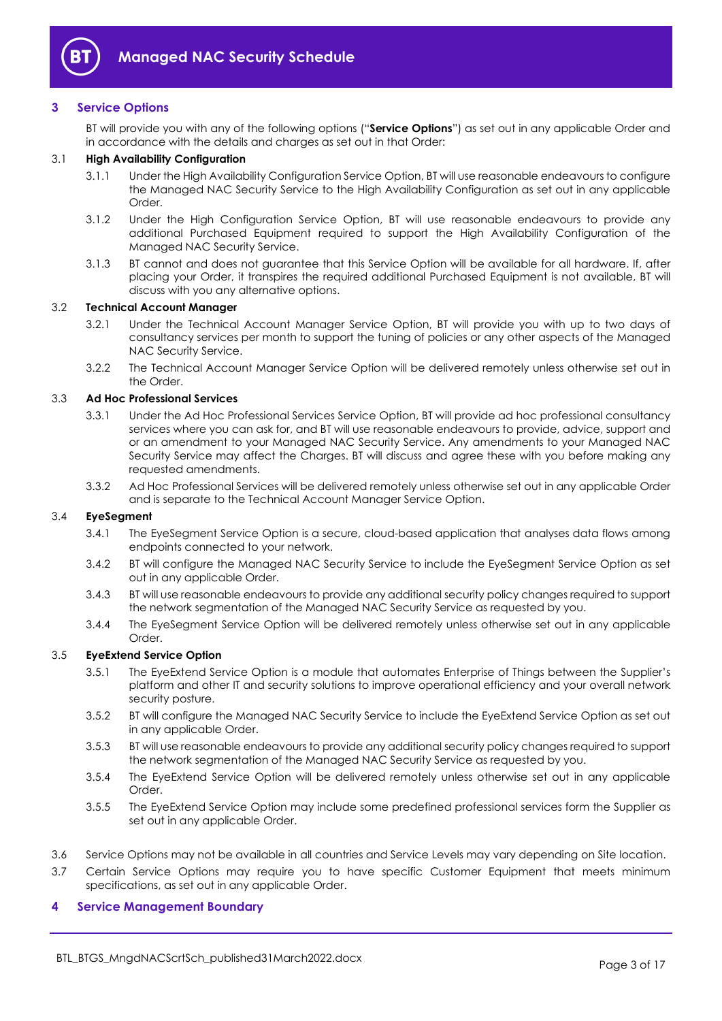

# 3 Service Options

BT will provide you with any of the following options ("Service Options") as set out in any applicable Order and in accordance with the details and charges as set out in that Order:

## 3.1 High Availability Configuration

- 3.1.1 Under the High Availability Configuration Service Option, BT will use reasonable endeavours to configure the Managed NAC Security Service to the High Availability Configuration as set out in any applicable Order.
- 3.1.2 Under the High Configuration Service Option, BT will use reasonable endeavours to provide any additional Purchased Equipment required to support the High Availability Configuration of the Managed NAC Security Service.
- 3.1.3 BT cannot and does not guarantee that this Service Option will be available for all hardware. If, after placing your Order, it transpires the required additional Purchased Equipment is not available, BT will discuss with you any alternative options.

# 3.2 Technical Account Manager

- 3.2.1 Under the Technical Account Manager Service Option, BT will provide you with up to two days of consultancy services per month to support the tuning of policies or any other aspects of the Managed NAC Security Service.
- 3.2.2 The Technical Account Manager Service Option will be delivered remotely unless otherwise set out in the Order.

#### 3.3 Ad Hoc Professional Services

- 3.3.1 Under the Ad Hoc Professional Services Service Option, BT will provide ad hoc professional consultancy services where you can ask for, and BT will use reasonable endeavours to provide, advice, support and or an amendment to your Managed NAC Security Service. Any amendments to your Managed NAC Security Service may affect the Charges. BT will discuss and agree these with you before making any requested amendments.
- 3.3.2 Ad Hoc Professional Services will be delivered remotely unless otherwise set out in any applicable Order and is separate to the Technical Account Manager Service Option.

#### 3.4 EyeSegment

- 3.4.1 The EyeSegment Service Option is a secure, cloud-based application that analyses data flows among endpoints connected to your network.
- 3.4.2 BT will configure the Managed NAC Security Service to include the EyeSegment Service Option as set out in any applicable Order.
- 3.4.3 BT will use reasonable endeavours to provide any additional security policy changes required to support the network segmentation of the Managed NAC Security Service as requested by you.
- 3.4.4 The EyeSegment Service Option will be delivered remotely unless otherwise set out in any applicable Order.

# 3.5 EyeExtend Service Option

- 3.5.1 The EyeExtend Service Option is a module that automates Enterprise of Things between the Supplier's platform and other IT and security solutions to improve operational efficiency and your overall network security posture.
- 3.5.2 BT will configure the Managed NAC Security Service to include the EyeExtend Service Option as set out in any applicable Order.
- 3.5.3 BT will use reasonable endeavours to provide any additional security policy changes required to support the network segmentation of the Managed NAC Security Service as requested by you.
- 3.5.4 The EyeExtend Service Option will be delivered remotely unless otherwise set out in any applicable **Order**
- 3.5.5 The EyeExtend Service Option may include some predefined professional services form the Supplier as set out in any applicable Order.
- 3.6 Service Options may not be available in all countries and Service Levels may vary depending on Site location.
- 3.7 Certain Service Options may require you to have specific Customer Equipment that meets minimum specifications, as set out in any applicable Order.

#### 4 Service Management Boundary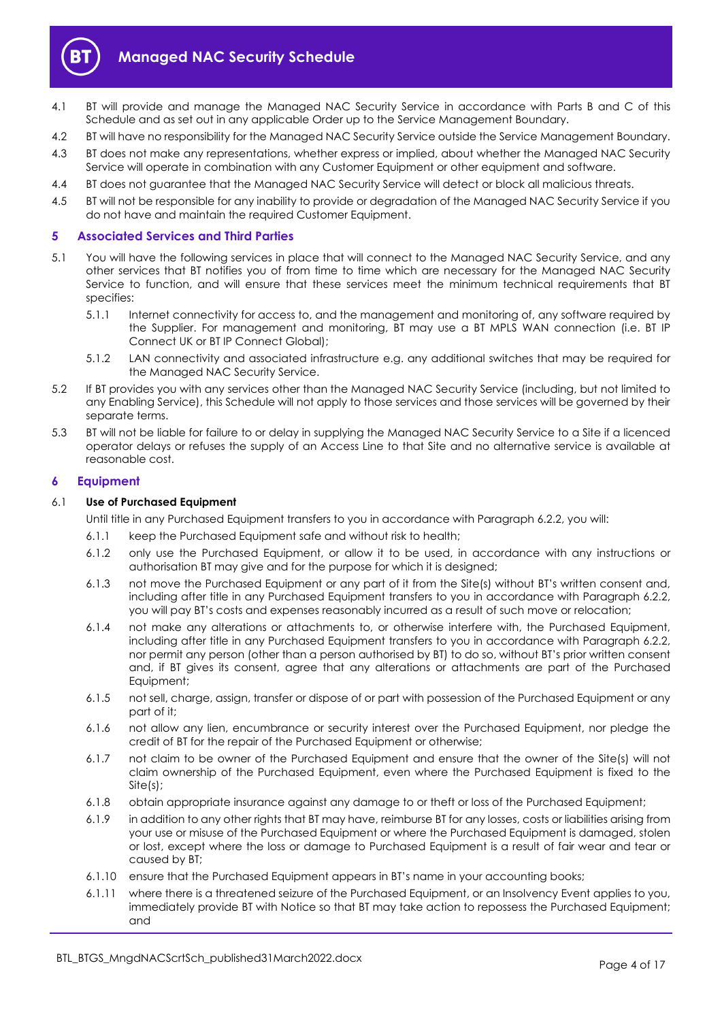

- 4.1 BT will provide and manage the Managed NAC Security Service in accordance with Parts B and C of this Schedule and as set out in any applicable Order up to the Service Management Boundary.
- 4.2 BT will have no responsibility for the Managed NAC Security Service outside the Service Management Boundary.
- 4.3 BT does not make any representations, whether express or implied, about whether the Managed NAC Security Service will operate in combination with any Customer Equipment or other equipment and software.
- 4.4 BT does not guarantee that the Managed NAC Security Service will detect or block all malicious threats.
- 4.5 BT will not be responsible for any inability to provide or degradation of the Managed NAC Security Service if you do not have and maintain the required Customer Equipment.

# 5 Associated Services and Third Parties

- 5.1 You will have the following services in place that will connect to the Managed NAC Security Service, and any other services that BT notifies you of from time to time which are necessary for the Managed NAC Security Service to function, and will ensure that these services meet the minimum technical requirements that BT specifies:
	- 5.1.1 Internet connectivity for access to, and the management and monitoring of, any software required by the Supplier. For management and monitoring, BT may use a BT MPLS WAN connection (i.e. BT IP Connect UK or BT IP Connect Global);
	- 5.1.2 LAN connectivity and associated infrastructure e.g. any additional switches that may be required for the Managed NAC Security Service.
- 5.2 If BT provides you with any services other than the Managed NAC Security Service (including, but not limited to any Enabling Service), this Schedule will not apply to those services and those services will be governed by their separate terms.
- 5.3 BT will not be liable for failure to or delay in supplying the Managed NAC Security Service to a Site if a licenced operator delays or refuses the supply of an Access Line to that Site and no alternative service is available at reasonable cost.

#### 6 Equipment

#### 6.1 Use of Purchased Equipment

Until title in any Purchased Equipment transfers to you in accordance with Paragraph 6.2.2, you will:

- 6.1.1 keep the Purchased Equipment safe and without risk to health;
- 6.1.2 only use the Purchased Equipment, or allow it to be used, in accordance with any instructions or authorisation BT may give and for the purpose for which it is designed;
- 6.1.3 not move the Purchased Equipment or any part of it from the Site(s) without BT's written consent and, including after title in any Purchased Equipment transfers to you in accordance with Paragraph 6.2.2, you will pay BT's costs and expenses reasonably incurred as a result of such move or relocation;
- 6.1.4 not make any alterations or attachments to, or otherwise interfere with, the Purchased Equipment, including after title in any Purchased Equipment transfers to you in accordance with Paragraph 6.2.2, nor permit any person (other than a person authorised by BT) to do so, without BT's prior written consent and, if BT gives its consent, agree that any alterations or attachments are part of the Purchased Equipment;
- 6.1.5 not sell, charge, assign, transfer or dispose of or part with possession of the Purchased Equipment or any part of it;
- 6.1.6 not allow any lien, encumbrance or security interest over the Purchased Equipment, nor pledge the credit of BT for the repair of the Purchased Equipment or otherwise;
- 6.1.7 not claim to be owner of the Purchased Equipment and ensure that the owner of the Site(s) will not claim ownership of the Purchased Equipment, even where the Purchased Equipment is fixed to the Site(s);
- 6.1.8 obtain appropriate insurance against any damage to or theft or loss of the Purchased Equipment;
- 6.1.9 in addition to any other rights that BT may have, reimburse BT for any losses, costs or liabilities arising from your use or misuse of the Purchased Equipment or where the Purchased Equipment is damaged, stolen or lost, except where the loss or damage to Purchased Equipment is a result of fair wear and tear or caused by BT;
- 6.1.10 ensure that the Purchased Equipment appears in BT's name in your accounting books;
- 6.1.11 where there is a threatened seizure of the Purchased Equipment, or an Insolvency Event applies to you, immediately provide BT with Notice so that BT may take action to repossess the Purchased Equipment; and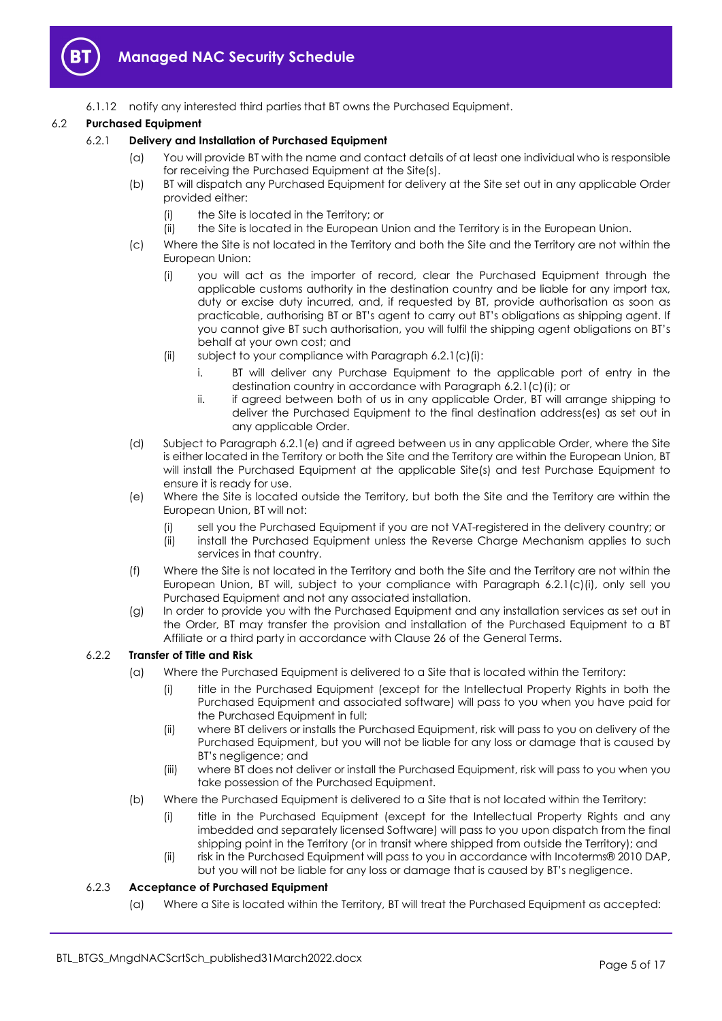

6.1.12 notify any interested third parties that BT owns the Purchased Equipment.

# 6.2 Purchased Equipment

# 6.2.1 Delivery and Installation of Purchased Equipment

- (a) You will provide BT with the name and contact details of at least one individual who is responsible for receiving the Purchased Equipment at the Site(s).
- (b) BT will dispatch any Purchased Equipment for delivery at the Site set out in any applicable Order provided either:
	- (i) the Site is located in the Territory; or
	- (ii) the Site is located in the European Union and the Territory is in the European Union.
- (c) Where the Site is not located in the Territory and both the Site and the Territory are not within the European Union:
	- (i) you will act as the importer of record, clear the Purchased Equipment through the applicable customs authority in the destination country and be liable for any import tax, duty or excise duty incurred, and, if requested by BT, provide authorisation as soon as practicable, authorising BT or BT's agent to carry out BT's obligations as shipping agent. If you cannot give BT such authorisation, you will fulfil the shipping agent obligations on BT's behalf at your own cost; and
	- (ii) subject to your compliance with Paragraph 6.2.1(c)(i):
		- i. BT will deliver any Purchase Equipment to the applicable port of entry in the destination country in accordance with Paragraph 6.2.1(c)(i); or
		- ii. if agreed between both of us in any applicable Order, BT will arrange shipping to deliver the Purchased Equipment to the final destination address(es) as set out in any applicable Order.
- (d) Subject to Paragraph 6.2.1(e) and if agreed between us in any applicable Order, where the Site is either located in the Territory or both the Site and the Territory are within the European Union, BT will install the Purchased Equipment at the applicable Site(s) and test Purchase Equipment to ensure it is ready for use.
- (e) Where the Site is located outside the Territory, but both the Site and the Territory are within the European Union, BT will not:
	- (i) sell you the Purchased Equipment if you are not VAT-registered in the delivery country; or
	- (ii) install the Purchased Equipment unless the Reverse Charge Mechanism applies to such services in that country.
- (f) Where the Site is not located in the Territory and both the Site and the Territory are not within the European Union, BT will, subject to your compliance with Paragraph 6.2.1(c)(i), only sell you Purchased Equipment and not any associated installation.
- (g) In order to provide you with the Purchased Equipment and any installation services as set out in the Order, BT may transfer the provision and installation of the Purchased Equipment to a BT Affiliate or a third party in accordance with Clause 26 of the General Terms.

# 6.2.2 Transfer of Title and Risk

- (a) Where the Purchased Equipment is delivered to a Site that is located within the Territory:
	- (i) title in the Purchased Equipment (except for the Intellectual Property Rights in both the Purchased Equipment and associated software) will pass to you when you have paid for the Purchased Equipment in full;
	- (ii) where BT delivers or installs the Purchased Equipment, risk will pass to you on delivery of the Purchased Equipment, but you will not be liable for any loss or damage that is caused by BT's negligence; and
	- (iii) where BT does not deliver or install the Purchased Equipment, risk will pass to you when you take possession of the Purchased Equipment.
- (b) Where the Purchased Equipment is delivered to a Site that is not located within the Territory:
	- (i) title in the Purchased Equipment (except for the Intellectual Property Rights and any imbedded and separately licensed Software) will pass to you upon dispatch from the final shipping point in the Territory (or in transit where shipped from outside the Territory); and
	- (ii) risk in the Purchased Equipment will pass to you in accordance with Incoterms® 2010 DAP, but you will not be liable for any loss or damage that is caused by BT's negligence.

# 6.2.3 Acceptance of Purchased Equipment

(a) Where a Site is located within the Territory, BT will treat the Purchased Equipment as accepted: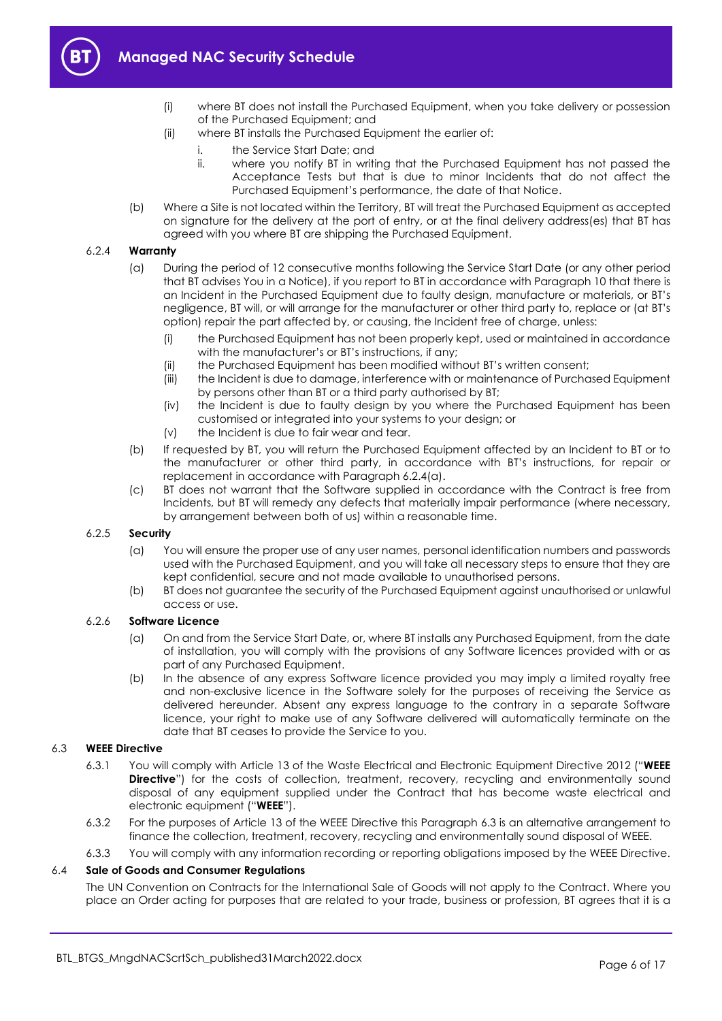

- (i) where BT does not install the Purchased Equipment, when you take delivery or possession of the Purchased Equipment; and
- (ii) where BT installs the Purchased Equipment the earlier of:
	- i. the Service Start Date; and
	- ii. where you notify BT in writing that the Purchased Equipment has not passed the Acceptance Tests but that is due to minor Incidents that do not affect the Purchased Equipment's performance, the date of that Notice.
- (b) Where a Site is not located within the Territory, BT will treat the Purchased Equipment as accepted on signature for the delivery at the port of entry, or at the final delivery address(es) that BT has agreed with you where BT are shipping the Purchased Equipment.

#### 6.2.4 Warranty

- (a) During the period of 12 consecutive months following the Service Start Date (or any other period that BT advises You in a Notice), if you report to BT in accordance with Paragraph 10 that there is an Incident in the Purchased Equipment due to faulty design, manufacture or materials, or BT's negligence, BT will, or will arrange for the manufacturer or other third party to, replace or (at BT's option) repair the part affected by, or causing, the Incident free of charge, unless:
	- (i) the Purchased Equipment has not been properly kept, used or maintained in accordance with the manufacturer's or BT's instructions, if any;
	- (ii) the Purchased Equipment has been modified without BT's written consent;
	- (iii) the Incident is due to damage, interference with or maintenance of Purchased Equipment by persons other than BT or a third party authorised by BT;
	- (iv) the Incident is due to faulty design by you where the Purchased Equipment has been customised or integrated into your systems to your design; or
	- (v) the Incident is due to fair wear and tear.
- (b) If requested by BT, you will return the Purchased Equipment affected by an Incident to BT or to the manufacturer or other third party, in accordance with BT's instructions, for repair or replacement in accordance with Paragraph 6.2.4(a).
- (c) BT does not warrant that the Software supplied in accordance with the Contract is free from Incidents, but BT will remedy any defects that materially impair performance (where necessary, by arrangement between both of us) within a reasonable time.

# 6.2.5 Security

- (a) You will ensure the proper use of any user names, personal identification numbers and passwords used with the Purchased Equipment, and you will take all necessary steps to ensure that they are kept confidential, secure and not made available to unauthorised persons.
- (b) BT does not guarantee the security of the Purchased Equipment against unauthorised or unlawful access or use.

# 6.2.6 Software Licence

- (a) On and from the Service Start Date, or, where BT installs any Purchased Equipment, from the date of installation, you will comply with the provisions of any Software licences provided with or as part of any Purchased Equipment.
- (b) In the absence of any express Software licence provided you may imply a limited royalty free and non-exclusive licence in the Software solely for the purposes of receiving the Service as delivered hereunder. Absent any express language to the contrary in a separate Software licence, your right to make use of any Software delivered will automatically terminate on the date that BT ceases to provide the Service to you.

# 6.3 WEEE Directive

- 6.3.1 You will comply with Article 13 of the Waste Electrical and Electronic Equipment Directive 2012 ("WEEE **Directive**") for the costs of collection, treatment, recovery, recycling and environmentally sound disposal of any equipment supplied under the Contract that has become waste electrical and electronic equipment ("WEEE").
- 6.3.2 For the purposes of Article 13 of the WEEE Directive this Paragraph 6.3 is an alternative arrangement to finance the collection, treatment, recovery, recycling and environmentally sound disposal of WEEE.
- 6.3.3 You will comply with any information recording or reporting obligations imposed by the WEEE Directive.

#### 6.4 Sale of Goods and Consumer Regulations

The UN Convention on Contracts for the International Sale of Goods will not apply to the Contract. Where you place an Order acting for purposes that are related to your trade, business or profession, BT agrees that it is a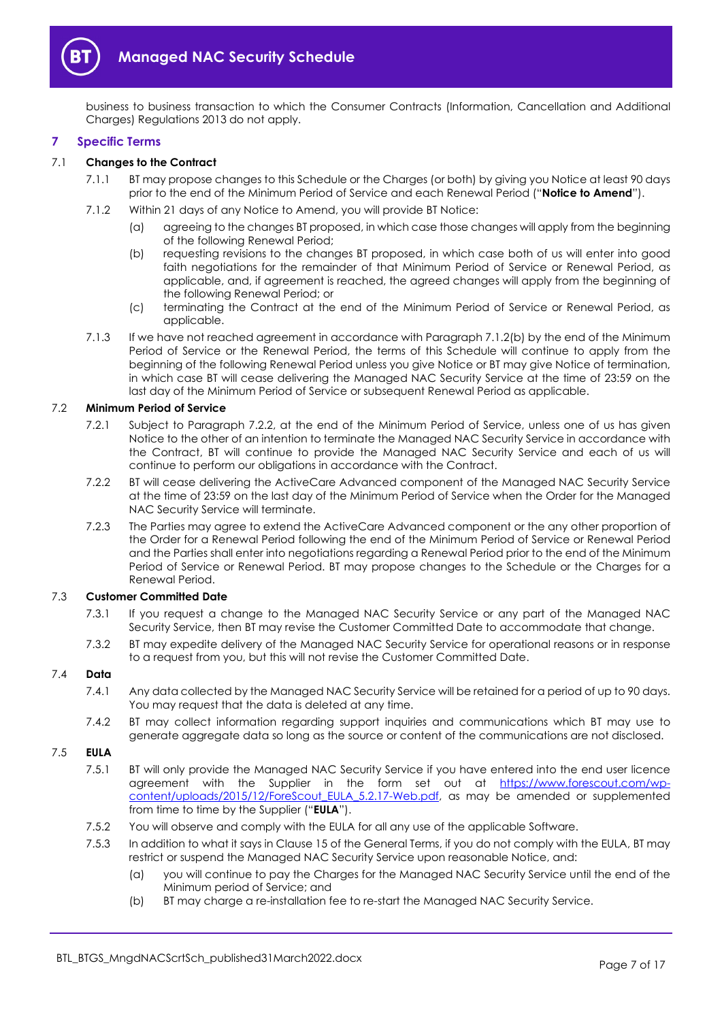

business to business transaction to which the Consumer Contracts (Information, Cancellation and Additional Charges) Regulations 2013 do not apply.

# 7 Specific Terms

# 7.1 Changes to the Contract

- 7.1.1 BT may propose changes to this Schedule or the Charges (or both) by giving you Notice at least 90 days prior to the end of the Minimum Period of Service and each Renewal Period ("Notice to Amend").
- 7.1.2 Within 21 days of any Notice to Amend, you will provide BT Notice:
	- (a) agreeing to the changes BT proposed, in which case those changes will apply from the beginning of the following Renewal Period;
	- (b) requesting revisions to the changes BT proposed, in which case both of us will enter into good faith negotiations for the remainder of that Minimum Period of Service or Renewal Period, as applicable, and, if agreement is reached, the agreed changes will apply from the beginning of the following Renewal Period; or
	- (c) terminating the Contract at the end of the Minimum Period of Service or Renewal Period, as applicable.
- 7.1.3 If we have not reached agreement in accordance with Paragraph 7.1.2(b) by the end of the Minimum Period of Service or the Renewal Period, the terms of this Schedule will continue to apply from the beginning of the following Renewal Period unless you give Notice or BT may give Notice of termination, in which case BT will cease delivering the Managed NAC Security Service at the time of 23:59 on the last day of the Minimum Period of Service or subsequent Renewal Period as applicable.

# 7.2 Minimum Period of Service

- 7.2.1 Subject to Paragraph 7.2.2, at the end of the Minimum Period of Service, unless one of us has given Notice to the other of an intention to terminate the Managed NAC Security Service in accordance with the Contract, BT will continue to provide the Managed NAC Security Service and each of us will continue to perform our obligations in accordance with the Contract.
- 7.2.2 BT will cease delivering the ActiveCare Advanced component of the Managed NAC Security Service at the time of 23:59 on the last day of the Minimum Period of Service when the Order for the Managed NAC Security Service will terminate.
- 7.2.3 The Parties may agree to extend the ActiveCare Advanced component or the any other proportion of the Order for a Renewal Period following the end of the Minimum Period of Service or Renewal Period and the Parties shall enter into negotiations regarding a Renewal Period prior to the end of the Minimum Period of Service or Renewal Period. BT may propose changes to the Schedule or the Charges for a Renewal Period.

#### 7.3 Customer Committed Date

- 7.3.1 If you request a change to the Managed NAC Security Service or any part of the Managed NAC Security Service, then BT may revise the Customer Committed Date to accommodate that change.
- 7.3.2 BT may expedite delivery of the Managed NAC Security Service for operational reasons or in response to a request from you, but this will not revise the Customer Committed Date.

#### 7.4 Data

- 7.4.1 Any data collected by the Managed NAC Security Service will be retained for a period of up to 90 days. You may request that the data is deleted at any time.
- 7.4.2 BT may collect information regarding support inquiries and communications which BT may use to generate aggregate data so long as the source or content of the communications are not disclosed.

# 7.5 EULA

- 7.5.1 BT will only provide the Managed NAC Security Service if you have entered into the end user licence agreement with the Supplier in the form set out at https://www.forescout.com/wpcontent/uploads/2015/12/ForeScout EULA 5.2.17-Web.pdf, as may be amended or supplemented from time to time by the Supplier ("EULA").
- 7.5.2 You will observe and comply with the EULA for all any use of the applicable Software.
- 7.5.3 In addition to what it says in Clause 15 of the General Terms, if you do not comply with the EULA, BT may restrict or suspend the Managed NAC Security Service upon reasonable Notice, and:
	- (a) you will continue to pay the Charges for the Managed NAC Security Service until the end of the Minimum period of Service; and
	- (b) BT may charge a re-installation fee to re-start the Managed NAC Security Service.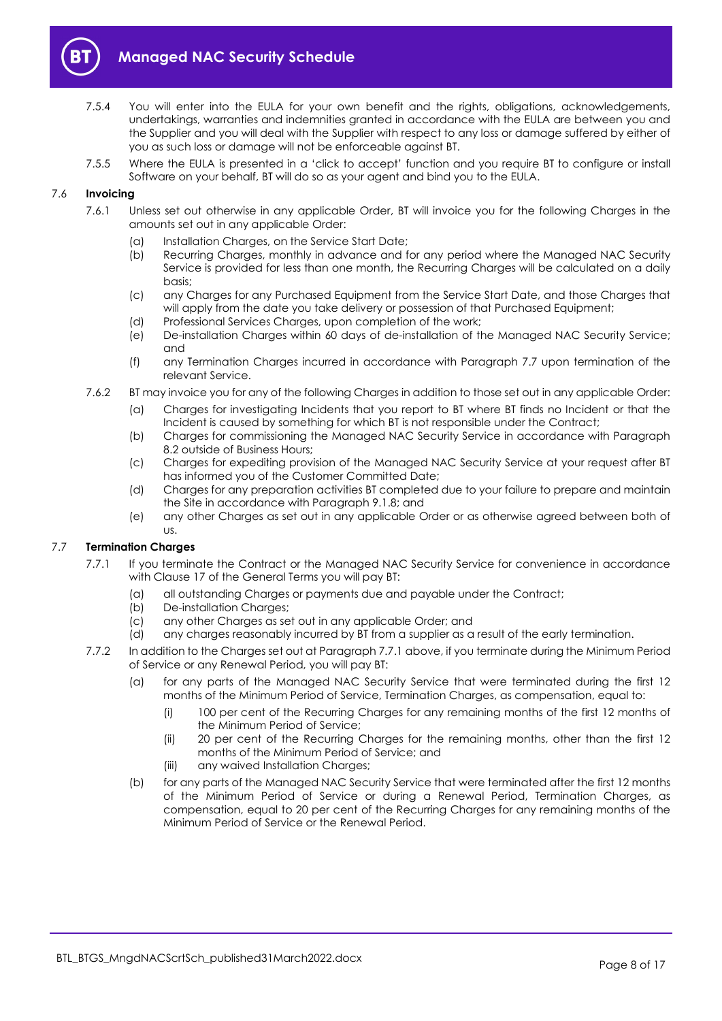

- 7.5.4 You will enter into the EULA for your own benefit and the rights, obligations, acknowledgements, undertakings, warranties and indemnities granted in accordance with the EULA are between you and the Supplier and you will deal with the Supplier with respect to any loss or damage suffered by either of you as such loss or damage will not be enforceable against BT.
- 7.5.5 Where the EULA is presented in a 'click to accept' function and you require BT to configure or install Software on your behalf, BT will do so as your agent and bind you to the EULA.

# 7.6 Invoicing

- 7.6.1 Unless set out otherwise in any applicable Order, BT will invoice you for the following Charges in the amounts set out in any applicable Order:
	- (a) Installation Charges, on the Service Start Date;
	- (b) Recurring Charges, monthly in advance and for any period where the Managed NAC Security Service is provided for less than one month, the Recurring Charges will be calculated on a daily basis;
	- (c) any Charges for any Purchased Equipment from the Service Start Date, and those Charges that will apply from the date you take delivery or possession of that Purchased Equipment;
	- (d) Professional Services Charges, upon completion of the work;
	- (e) De-installation Charges within 60 days of de-installation of the Managed NAC Security Service; and
	- (f) any Termination Charges incurred in accordance with Paragraph 7.7 upon termination of the relevant Service.
- 7.6.2 BT may invoice you for any of the following Charges in addition to those set out in any applicable Order:
	- (a) Charges for investigating Incidents that you report to BT where BT finds no Incident or that the Incident is caused by something for which BT is not responsible under the Contract;
	- (b) Charges for commissioning the Managed NAC Security Service in accordance with Paragraph 8.2 outside of Business Hours;
	- (c) Charges for expediting provision of the Managed NAC Security Service at your request after BT has informed you of the Customer Committed Date;
	- (d) Charges for any preparation activities BT completed due to your failure to prepare and maintain the Site in accordance with Paragraph 9.1.8; and
	- (e) any other Charges as set out in any applicable Order or as otherwise agreed between both of us.

# 7.7 Termination Charges

- 7.7.1 If you terminate the Contract or the Managed NAC Security Service for convenience in accordance with Clause 17 of the General Terms you will pay BT:
	- (a) all outstanding Charges or payments due and payable under the Contract;
	- (b) De-installation Charges;
	- (c) any other Charges as set out in any applicable Order; and
	- (d) any charges reasonably incurred by BT from a supplier as a result of the early termination.
- 7.7.2 In addition to the Charges set out at Paragraph 7.7.1 above, if you terminate during the Minimum Period of Service or any Renewal Period, you will pay BT:
	- (a) for any parts of the Managed NAC Security Service that were terminated during the first 12 months of the Minimum Period of Service, Termination Charges, as compensation, equal to:
		- (i) 100 per cent of the Recurring Charges for any remaining months of the first 12 months of the Minimum Period of Service;
		- (ii) 20 per cent of the Recurring Charges for the remaining months, other than the first 12 months of the Minimum Period of Service; and
		- (iii) any waived Installation Charges;
	- (b) for any parts of the Managed NAC Security Service that were terminated after the first 12 months of the Minimum Period of Service or during a Renewal Period, Termination Charges, as compensation, equal to 20 per cent of the Recurring Charges for any remaining months of the Minimum Period of Service or the Renewal Period.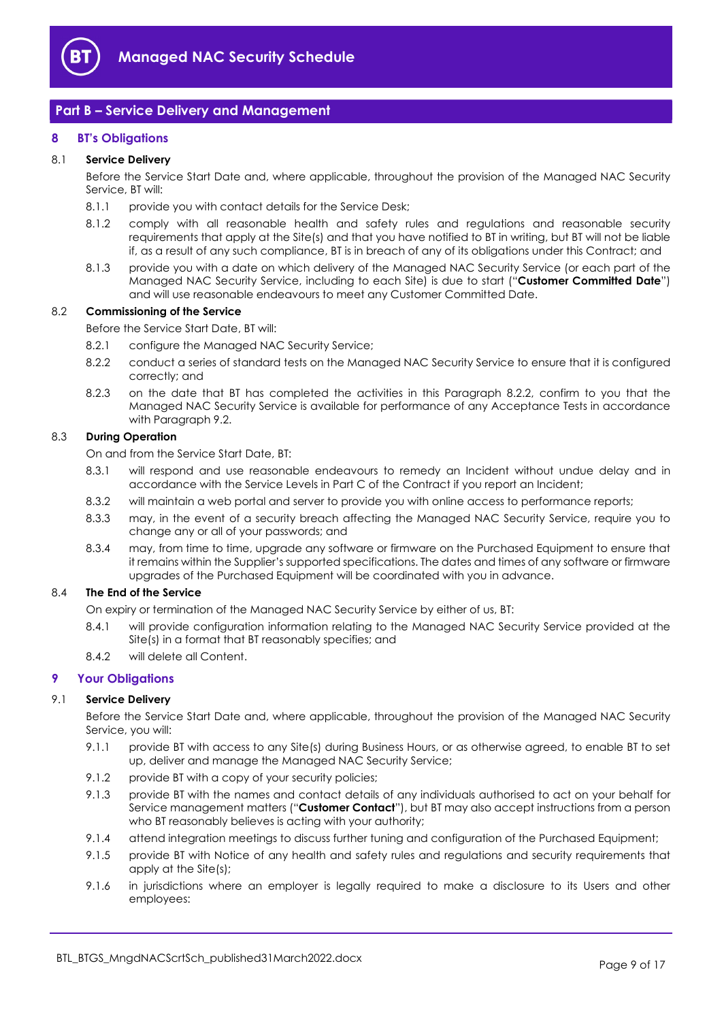

# Part B – Service Delivery and Management

# 8 BT's Obligations

# 8.1 Service Delivery

Before the Service Start Date and, where applicable, throughout the provision of the Managed NAC Security Service, BT will:

- 8.1.1 provide you with contact details for the Service Desk;
- 8.1.2 comply with all reasonable health and safety rules and regulations and reasonable security requirements that apply at the Site(s) and that you have notified to BT in writing, but BT will not be liable if, as a result of any such compliance, BT is in breach of any of its obligations under this Contract; and
- 8.1.3 provide you with a date on which delivery of the Managed NAC Security Service (or each part of the Managed NAC Security Service, including to each Site) is due to start ("Customer Committed Date") and will use reasonable endeavours to meet any Customer Committed Date.

# 8.2 Commissioning of the Service

Before the Service Start Date, BT will:

- 8.2.1 configure the Managed NAC Security Service;
- 8.2.2 conduct a series of standard tests on the Managed NAC Security Service to ensure that it is configured correctly; and
- 8.2.3 on the date that BT has completed the activities in this Paragraph 8.2.2, confirm to you that the Managed NAC Security Service is available for performance of any Acceptance Tests in accordance with Paragraph 9.2.

# 8.3 During Operation

On and from the Service Start Date, BT:

- 8.3.1 will respond and use reasonable endeavours to remedy an Incident without undue delay and in accordance with the Service Levels in Part C of the Contract if you report an Incident;
- 8.3.2 will maintain a web portal and server to provide you with online access to performance reports;
- 8.3.3 may, in the event of a security breach affecting the Managed NAC Security Service, require you to change any or all of your passwords; and
- 8.3.4 may, from time to time, upgrade any software or firmware on the Purchased Equipment to ensure that it remains within the Supplier's supported specifications. The dates and times of any software or firmware upgrades of the Purchased Equipment will be coordinated with you in advance.

# 8.4 The End of the Service

On expiry or termination of the Managed NAC Security Service by either of us, BT:

- 8.4.1 will provide configuration information relating to the Managed NAC Security Service provided at the Site(s) in a format that BT reasonably specifies; and
- 8.4.2 will delete all Content.

# 9 Your Obligations

# 9.1 Service Delivery

Before the Service Start Date and, where applicable, throughout the provision of the Managed NAC Security Service, you will:

- 9.1.1 provide BT with access to any Site(s) during Business Hours, or as otherwise agreed, to enable BT to set up, deliver and manage the Managed NAC Security Service;
- 9.1.2 provide BT with a copy of your security policies;
- 9.1.3 provide BT with the names and contact details of any individuals authorised to act on your behalf for Service management matters ("Customer Contact"), but BT may also accept instructions from a person who BT reasonably believes is acting with your authority;
- 9.1.4 attend integration meetings to discuss further tuning and configuration of the Purchased Equipment;
- 9.1.5 provide BT with Notice of any health and safety rules and regulations and security requirements that apply at the Site(s);
- 9.1.6 in jurisdictions where an employer is legally required to make a disclosure to its Users and other employees: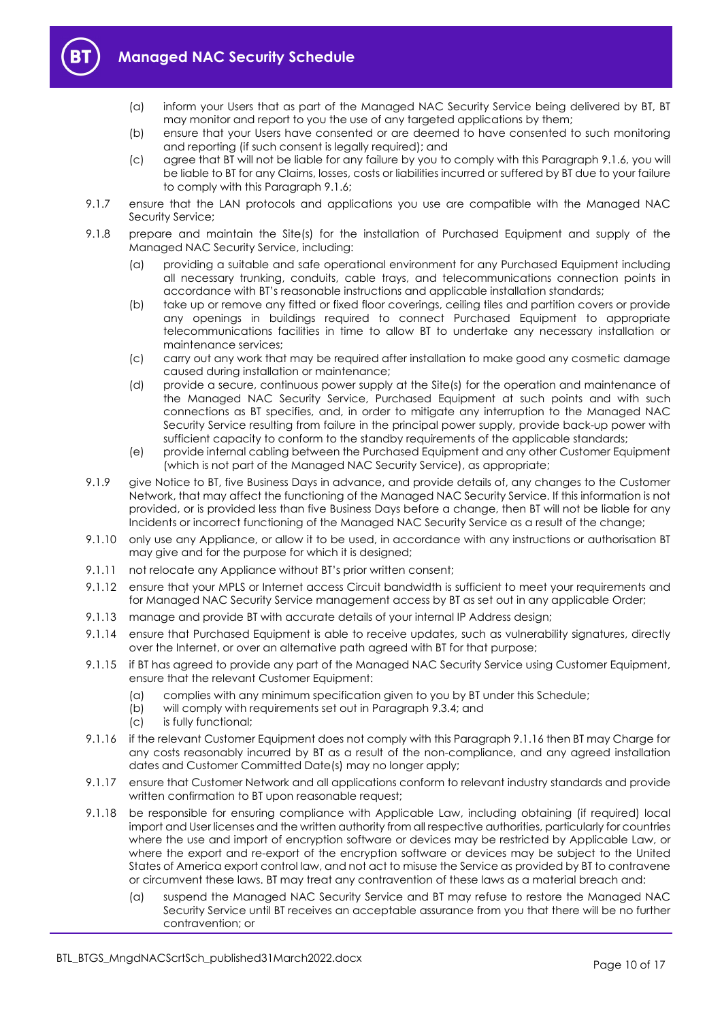

- (a) inform your Users that as part of the Managed NAC Security Service being delivered by BT, BT may monitor and report to you the use of any targeted applications by them;
- (b) ensure that your Users have consented or are deemed to have consented to such monitoring and reporting (if such consent is legally required); and
- (c) agree that BT will not be liable for any failure by you to comply with this Paragraph 9.1.6, you will be liable to BT for any Claims, losses, costs or liabilities incurred or suffered by BT due to your failure to comply with this Paragraph 9.1.6;
- 9.1.7 ensure that the LAN protocols and applications you use are compatible with the Managed NAC Security Service;
- 9.1.8 prepare and maintain the Site(s) for the installation of Purchased Equipment and supply of the Managed NAC Security Service, including:
	- (a) providing a suitable and safe operational environment for any Purchased Equipment including all necessary trunking, conduits, cable trays, and telecommunications connection points in accordance with BT's reasonable instructions and applicable installation standards;
	- (b) take up or remove any fitted or fixed floor coverings, ceiling tiles and partition covers or provide any openings in buildings required to connect Purchased Equipment to appropriate telecommunications facilities in time to allow BT to undertake any necessary installation or maintenance services;
	- (c) carry out any work that may be required after installation to make good any cosmetic damage caused during installation or maintenance;
	- (d) provide a secure, continuous power supply at the Site(s) for the operation and maintenance of the Managed NAC Security Service, Purchased Equipment at such points and with such connections as BT specifies, and, in order to mitigate any interruption to the Managed NAC Security Service resulting from failure in the principal power supply, provide back-up power with sufficient capacity to conform to the standby requirements of the applicable standards;
	- (e) provide internal cabling between the Purchased Equipment and any other Customer Equipment (which is not part of the Managed NAC Security Service), as appropriate;
- 9.1.9 give Notice to BT, five Business Days in advance, and provide details of, any changes to the Customer Network, that may affect the functioning of the Managed NAC Security Service. If this information is not provided, or is provided less than five Business Days before a change, then BT will not be liable for any Incidents or incorrect functioning of the Managed NAC Security Service as a result of the change;
- 9.1.10 only use any Appliance, or allow it to be used, in accordance with any instructions or authorisation BT may give and for the purpose for which it is designed;
- 9.1.11 not relocate any Appliance without BT's prior written consent;
- 9.1.12 ensure that your MPLS or Internet access Circuit bandwidth is sufficient to meet your requirements and for Managed NAC Security Service management access by BT as set out in any applicable Order;
- 9.1.13 manage and provide BT with accurate details of your internal IP Address design;
- 9.1.14 ensure that Purchased Equipment is able to receive updates, such as vulnerability signatures, directly over the Internet, or over an alternative path agreed with BT for that purpose;
- 9.1.15 if BT has agreed to provide any part of the Managed NAC Security Service using Customer Equipment, ensure that the relevant Customer Equipment:
	- (a) complies with any minimum specification given to you by BT under this Schedule;
	- (b) will comply with requirements set out in Paragraph 9.3.4; and
	- (c) is fully functional;
- 9.1.16 if the relevant Customer Equipment does not comply with this Paragraph 9.1.16 then BT may Charge for any costs reasonably incurred by BT as a result of the non-compliance, and any agreed installation dates and Customer Committed Date(s) may no longer apply;
- 9.1.17 ensure that Customer Network and all applications conform to relevant industry standards and provide written confirmation to BT upon reasonable request;
- 9.1.18 be responsible for ensuring compliance with Applicable Law, including obtaining (if required) local import and User licenses and the written authority from all respective authorities, particularly for countries where the use and import of encryption software or devices may be restricted by Applicable Law, or where the export and re-export of the encryption software or devices may be subject to the United States of America export control law, and not act to misuse the Service as provided by BT to contravene or circumvent these laws. BT may treat any contravention of these laws as a material breach and:
	- (a) suspend the Managed NAC Security Service and BT may refuse to restore the Managed NAC Security Service until BT receives an acceptable assurance from you that there will be no further contravention; or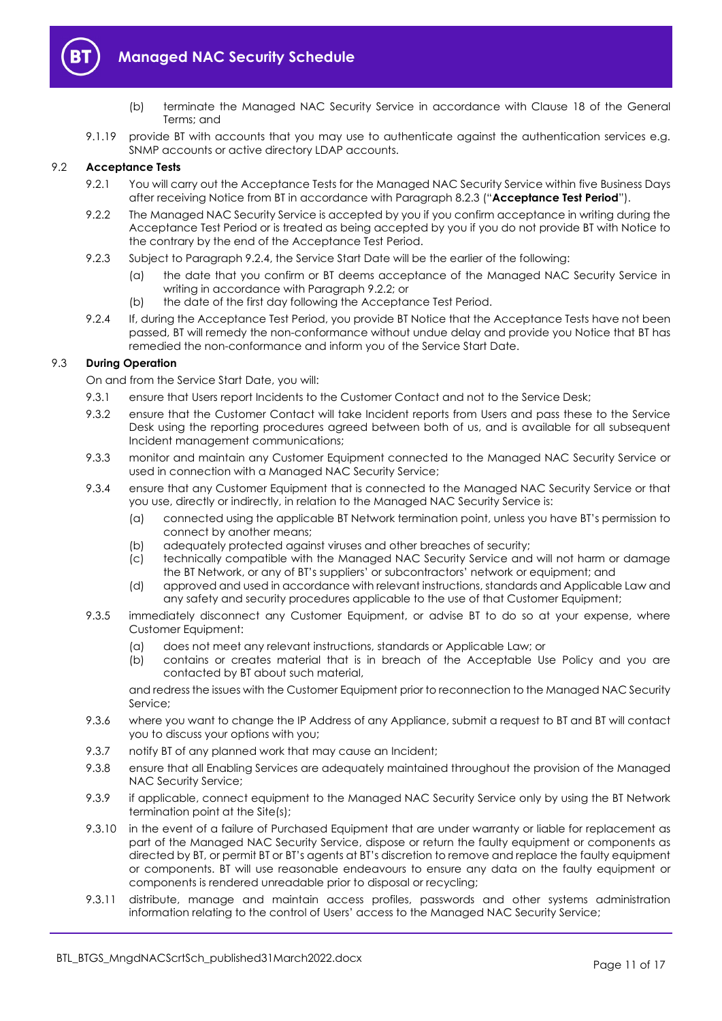

- (b) terminate the Managed NAC Security Service in accordance with Clause 18 of the General Terms; and
- 9.1.19 provide BT with accounts that you may use to authenticate against the authentication services e.g. SNMP accounts or active directory LDAP accounts.

# 9.2 Acceptance Tests

- 9.2.1 You will carry out the Acceptance Tests for the Managed NAC Security Service within five Business Days after receiving Notice from BT in accordance with Paragraph 8.2.3 ("Acceptance Test Period").
- 9.2.2 The Managed NAC Security Service is accepted by you if you confirm acceptance in writing during the Acceptance Test Period or is treated as being accepted by you if you do not provide BT with Notice to the contrary by the end of the Acceptance Test Period.
- 9.2.3 Subject to Paragraph 9.2.4, the Service Start Date will be the earlier of the following:
	- (a) the date that you confirm or BT deems acceptance of the Managed NAC Security Service in writing in accordance with Paragraph 9.2.2; or
	- (b) the date of the first day following the Acceptance Test Period.
- 9.2.4 If, during the Acceptance Test Period, you provide BT Notice that the Acceptance Tests have not been passed, BT will remedy the non-conformance without undue delay and provide you Notice that BT has remedied the non-conformance and inform you of the Service Start Date.

# 9.3 During Operation

On and from the Service Start Date, you will:

- 9.3.1 ensure that Users report Incidents to the Customer Contact and not to the Service Desk;
- 9.3.2 ensure that the Customer Contact will take Incident reports from Users and pass these to the Service Desk using the reporting procedures agreed between both of us, and is available for all subsequent Incident management communications;
- 9.3.3 monitor and maintain any Customer Equipment connected to the Managed NAC Security Service or used in connection with a Managed NAC Security Service;
- 9.3.4 ensure that any Customer Equipment that is connected to the Managed NAC Security Service or that you use, directly or indirectly, in relation to the Managed NAC Security Service is:
	- (a) connected using the applicable BT Network termination point, unless you have BT's permission to connect by another means;
	- (b) adequately protected against viruses and other breaches of security;
	- (c) technically compatible with the Managed NAC Security Service and will not harm or damage the BT Network, or any of BT's suppliers' or subcontractors' network or equipment; and
	- (d) approved and used in accordance with relevant instructions, standards and Applicable Law and any safety and security procedures applicable to the use of that Customer Equipment;
- 9.3.5 immediately disconnect any Customer Equipment, or advise BT to do so at your expense, where Customer Equipment:
	- (a) does not meet any relevant instructions, standards or Applicable Law; or
	- (b) contains or creates material that is in breach of the Acceptable Use Policy and you are contacted by BT about such material,

and redress the issues with the Customer Equipment prior to reconnection to the Managed NAC Security Service;

- 9.3.6 where you want to change the IP Address of any Appliance, submit a request to BT and BT will contact you to discuss your options with you;
- 9.3.7 notify BT of any planned work that may cause an Incident;
- 9.3.8 ensure that all Enabling Services are adequately maintained throughout the provision of the Managed NAC Security Service;
- 9.3.9 if applicable, connect equipment to the Managed NAC Security Service only by using the BT Network termination point at the Site(s);
- 9.3.10 in the event of a failure of Purchased Equipment that are under warranty or liable for replacement as part of the Managed NAC Security Service, dispose or return the faulty equipment or components as directed by BT, or permit BT or BT's agents at BT's discretion to remove and replace the faulty equipment or components. BT will use reasonable endeavours to ensure any data on the faulty equipment or components is rendered unreadable prior to disposal or recycling;
- 9.3.11 distribute, manage and maintain access profiles, passwords and other systems administration information relating to the control of Users' access to the Managed NAC Security Service;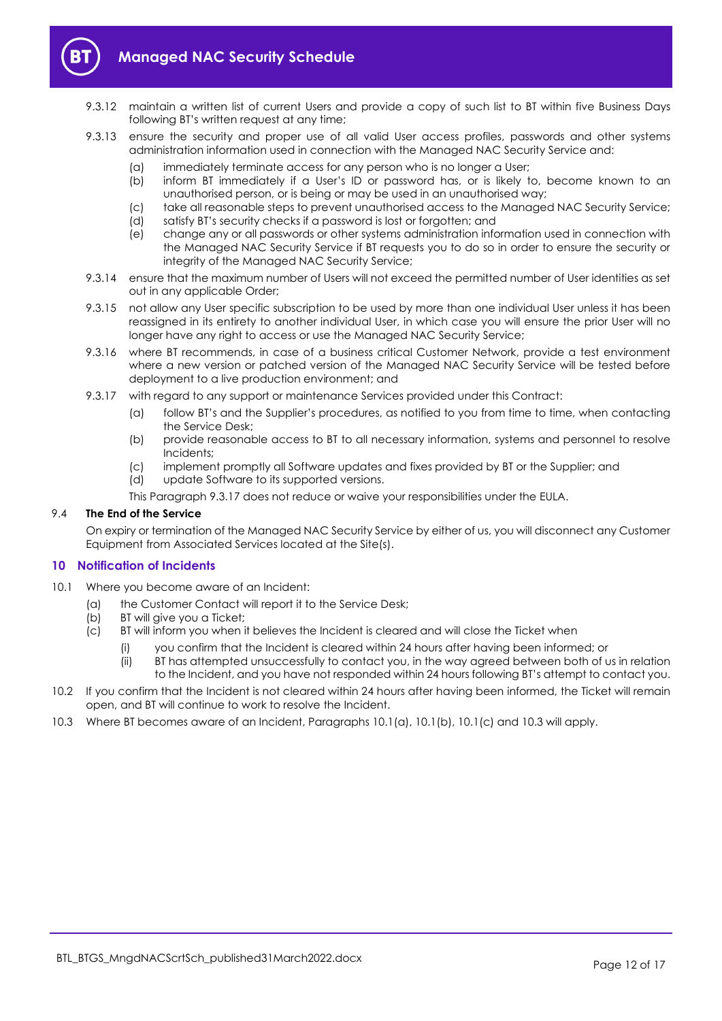

- 9.3.12 maintain a written list of current Users and provide a copy of such list to BT within five Business Days following BT's written request at any time;
- 9.3.13 ensure the security and proper use of all valid User access profiles, passwords and other systems administration information used in connection with the Managed NAC Security Service and:
	- (a) immediately terminate access for any person who is no longer a User;
	- (b) inform BT immediately if a User's ID or password has, or is likely to, become known to an unauthorised person, or is being or may be used in an unauthorised way;
	- (c) take all reasonable steps to prevent unauthorised access to the Managed NAC Security Service;
	- (d) satisfy BT's security checks if a password is lost or forgotten; and
	- (e) change any or all passwords or other systems administration information used in connection with the Managed NAC Security Service if BT requests you to do so in order to ensure the security or integrity of the Managed NAC Security Service;
- 9.3.14 ensure that the maximum number of Users will not exceed the permitted number of User identities as set out in any applicable Order;
- 9.3.15 not allow any User specific subscription to be used by more than one individual User unless it has been reassigned in its entirety to another individual User, in which case you will ensure the prior User will no longer have any right to access or use the Managed NAC Security Service;
- 9.3.16 where BT recommends, in case of a business critical Customer Network, provide a test environment where a new version or patched version of the Managed NAC Security Service will be tested before deployment to a live production environment; and
- 9.3.17 with regard to any support or maintenance Services provided under this Contract:
	- (a) follow BT's and the Supplier's procedures, as notified to you from time to time, when contacting the Service Desk;
	- (b) provide reasonable access to BT to all necessary information, systems and personnel to resolve Incidents;
	- (c) implement promptly all Software updates and fixes provided by BT or the Supplier; and
	- (d) update Software to its supported versions.

This Paragraph 9.3.17 does not reduce or waive your responsibilities under the EULA.

# 9.4 The End of the Service

On expiry or termination of the Managed NAC Security Service by either of us, you will disconnect any Customer Equipment from Associated Services located at the Site(s).

# 10 Notification of Incidents

- 10.1 Where you become aware of an Incident:
	- (a) the Customer Contact will report it to the Service Desk;
	- (b) BT will give you a Ticket;
	- (c) BT will inform you when it believes the Incident is cleared and will close the Ticket when
		- (i) you confirm that the Incident is cleared within 24 hours after having been informed; or
		- (ii) BT has attempted unsuccessfully to contact you, in the way agreed between both of us in relation to the Incident, and you have not responded within 24 hours following BT's attempt to contact you.
- 10.2 If you confirm that the Incident is not cleared within 24 hours after having been informed, the Ticket will remain open, and BT will continue to work to resolve the Incident.
- 10.3 Where BT becomes aware of an Incident, Paragraphs 10.1(a), 10.1(b), 10.1(c) and 10.3 will apply.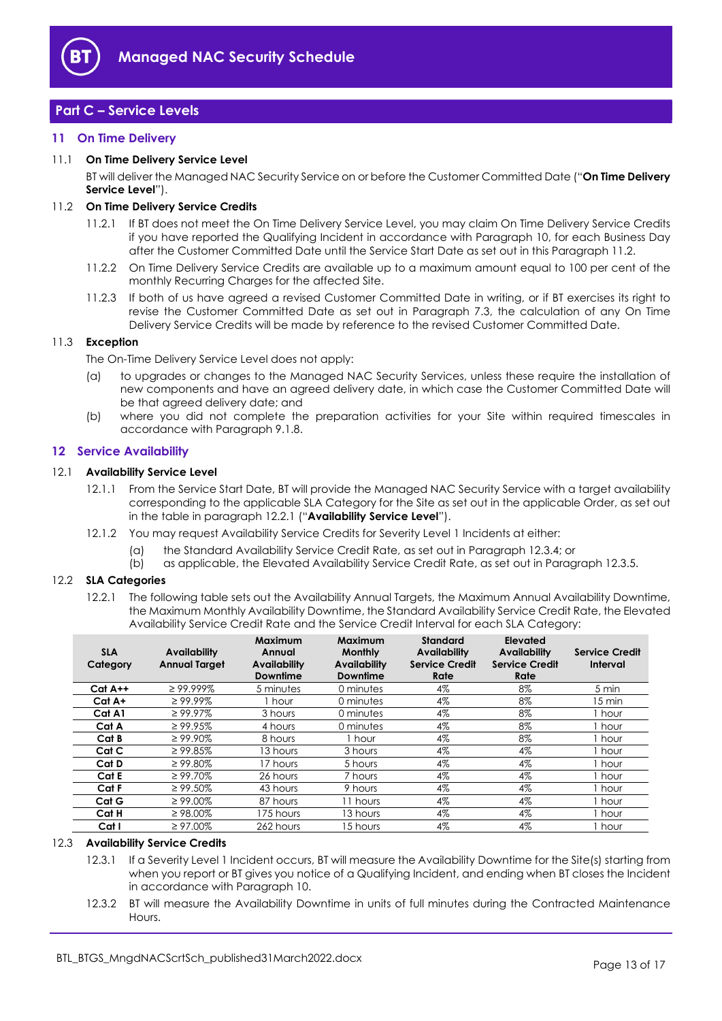

# Part C – Service Levels

# 11 On Time Delivery

# 11.1 On Time Delivery Service Level

BT will deliver the Managed NAC Security Service on or before the Customer Committed Date ("On Time Delivery Service Level").

# 11.2 On Time Delivery Service Credits

- 11.2.1 If BT does not meet the On Time Delivery Service Level, you may claim On Time Delivery Service Credits if you have reported the Qualifying Incident in accordance with Paragraph 10, for each Business Day after the Customer Committed Date until the Service Start Date as set out in this Paragraph 11.2.
- 11.2.2 On Time Delivery Service Credits are available up to a maximum amount equal to 100 per cent of the monthly Recurring Charges for the affected Site.
- 11.2.3 If both of us have agreed a revised Customer Committed Date in writing, or if BT exercises its right to revise the Customer Committed Date as set out in Paragraph 7.3, the calculation of any On Time Delivery Service Credits will be made by reference to the revised Customer Committed Date.

# 11.3 Exception

The On-Time Delivery Service Level does not apply:

- (a) to upgrades or changes to the Managed NAC Security Services, unless these require the installation of new components and have an agreed delivery date, in which case the Customer Committed Date will be that agreed delivery date; and
- (b) where you did not complete the preparation activities for your Site within required timescales in accordance with Paragraph 9.1.8.

# 12 Service Availability

# 12.1 Availability Service Level

- 12.1.1 From the Service Start Date, BT will provide the Managed NAC Security Service with a target availability corresponding to the applicable SLA Category for the Site as set out in the applicable Order, as set out in the table in paragraph 12.2.1 ("Availability Service Level").
- 12.1.2 You may request Availability Service Credits for Severity Level 1 Incidents at either:
	- (a) the Standard Availability Service Credit Rate, as set out in Paragraph 12.3.4; or
	- (b) as applicable, the Elevated Availability Service Credit Rate, as set out in Paragraph 12.3.5.

# 12.2 SLA Categories

12.2.1 The following table sets out the Availability Annual Targets, the Maximum Annual Availability Downtime, the Maximum Monthly Availability Downtime, the Standard Availability Service Credit Rate, the Elevated Availability Service Credit Rate and the Service Credit Interval for each SLA Category:

| <b>SLA</b><br>Category | <b>Availability</b><br><b>Annual Target</b> | Maximum<br>Annual<br><b>Availability</b><br><b>Downtime</b> | <b>Maximum</b><br><b>Monthly</b><br><b>Availability</b><br><b>Downtime</b> | <b>Standard</b><br><b>Availability</b><br><b>Service Credit</b><br>Rate | Elevated<br><b>Availability</b><br><b>Service Credit</b><br>Rate | <b>Service Credit</b><br>Interval |
|------------------------|---------------------------------------------|-------------------------------------------------------------|----------------------------------------------------------------------------|-------------------------------------------------------------------------|------------------------------------------------------------------|-----------------------------------|
| $Cat A++$              | $\geq$ 99.999%                              | 5 minutes                                                   | 0 minutes                                                                  | 4%                                                                      | 8%                                                               | 5 min                             |
| Cat A+                 | $\geq 99.99\%$                              | 1 hour                                                      | 0 minutes                                                                  | 4%                                                                      | 8%                                                               | 15 min                            |
| Cat A1                 | $\geq 99.97\%$                              | 3 hours                                                     | 0 minutes                                                                  | 4%                                                                      | 8%                                                               | hour                              |
| Cat A                  | $\geq 99.95\%$                              | 4 hours                                                     | 0 minutes                                                                  | 4%                                                                      | 8%                                                               | hour                              |
| Cat B                  | $\geq 99.90\%$                              | 8 hours                                                     | I hour                                                                     | 4%                                                                      | 8%                                                               | hour                              |
| Cat C                  | $\geq 99.85\%$                              | 13 hours                                                    | 3 hours                                                                    | 4%                                                                      | 4%                                                               | 1 hour                            |
| Cat D                  | $\geq 99.80\%$                              | 17 hours                                                    | 5 hours                                                                    | 4%                                                                      | 4%                                                               | 1 hour                            |
| Cat E                  | $\geq 99.70\%$                              | 26 hours                                                    | 7 hours                                                                    | 4%                                                                      | $4\%$                                                            | 1 hour                            |
| Cat F                  | $\geq 99.50\%$                              | 43 hours                                                    | 9 hours                                                                    | 4%                                                                      | 4%                                                               | hour                              |
| Cat G                  | $\geq 99.00\%$                              | 87 hours                                                    | 11 hours                                                                   | 4%                                                                      | 4%                                                               | 1 hour                            |
| Cat H                  | $\geq$ 98.00%                               | 175 hours                                                   | 13 hours                                                                   | 4%                                                                      | 4%                                                               | I hour                            |
| Cat I                  | $\geq 97.00\%$                              | 262 hours                                                   | 15 hours                                                                   | 4%                                                                      | 4%                                                               | 1 hour                            |

# 12.3 Availability Service Credits

- 12.3.1 If a Severity Level 1 Incident occurs, BT will measure the Availability Downtime for the Site(s) starting from when you report or BT gives you notice of a Qualifying Incident, and ending when BT closes the Incident in accordance with Paragraph 10.
- 12.3.2 BT will measure the Availability Downtime in units of full minutes during the Contracted Maintenance **Hours**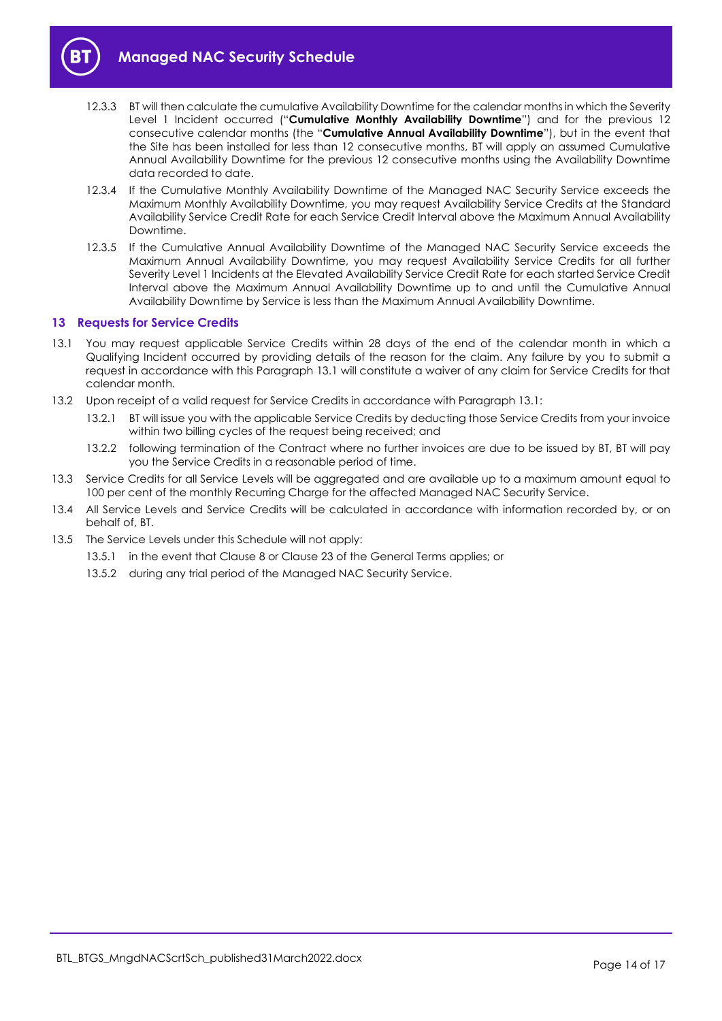

- 12.3.3 BT will then calculate the cumulative Availability Downtime for the calendar months in which the Severity Level 1 Incident occurred ("Cumulative Monthly Availability Downtime") and for the previous 12 consecutive calendar months (the "Cumulative Annual Availability Downtime"), but in the event that the Site has been installed for less than 12 consecutive months, BT will apply an assumed Cumulative Annual Availability Downtime for the previous 12 consecutive months using the Availability Downtime data recorded to date.
- 12.3.4 If the Cumulative Monthly Availability Downtime of the Managed NAC Security Service exceeds the Maximum Monthly Availability Downtime, you may request Availability Service Credits at the Standard Availability Service Credit Rate for each Service Credit Interval above the Maximum Annual Availability Downtime.
- 12.3.5 If the Cumulative Annual Availability Downtime of the Managed NAC Security Service exceeds the Maximum Annual Availability Downtime, you may request Availability Service Credits for all further Severity Level 1 Incidents at the Elevated Availability Service Credit Rate for each started Service Credit Interval above the Maximum Annual Availability Downtime up to and until the Cumulative Annual Availability Downtime by Service is less than the Maximum Annual Availability Downtime.

# 13 Requests for Service Credits

- 13.1 You may request applicable Service Credits within 28 days of the end of the calendar month in which a Qualifying Incident occurred by providing details of the reason for the claim. Any failure by you to submit a request in accordance with this Paragraph 13.1 will constitute a waiver of any claim for Service Credits for that calendar month.
- 13.2 Upon receipt of a valid request for Service Credits in accordance with Paragraph 13.1:
	- 13.2.1 BT will issue you with the applicable Service Credits by deducting those Service Credits from your invoice within two billing cycles of the request being received; and
	- 13.2.2 following termination of the Contract where no further invoices are due to be issued by BT, BT will pay you the Service Credits in a reasonable period of time.
- 13.3 Service Credits for all Service Levels will be aggregated and are available up to a maximum amount equal to 100 per cent of the monthly Recurring Charge for the affected Managed NAC Security Service.
- 13.4 All Service Levels and Service Credits will be calculated in accordance with information recorded by, or on behalf of, BT.
- 13.5 The Service Levels under this Schedule will not apply:
	- 13.5.1 in the event that Clause 8 or Clause 23 of the General Terms applies; or
	- 13.5.2 during any trial period of the Managed NAC Security Service.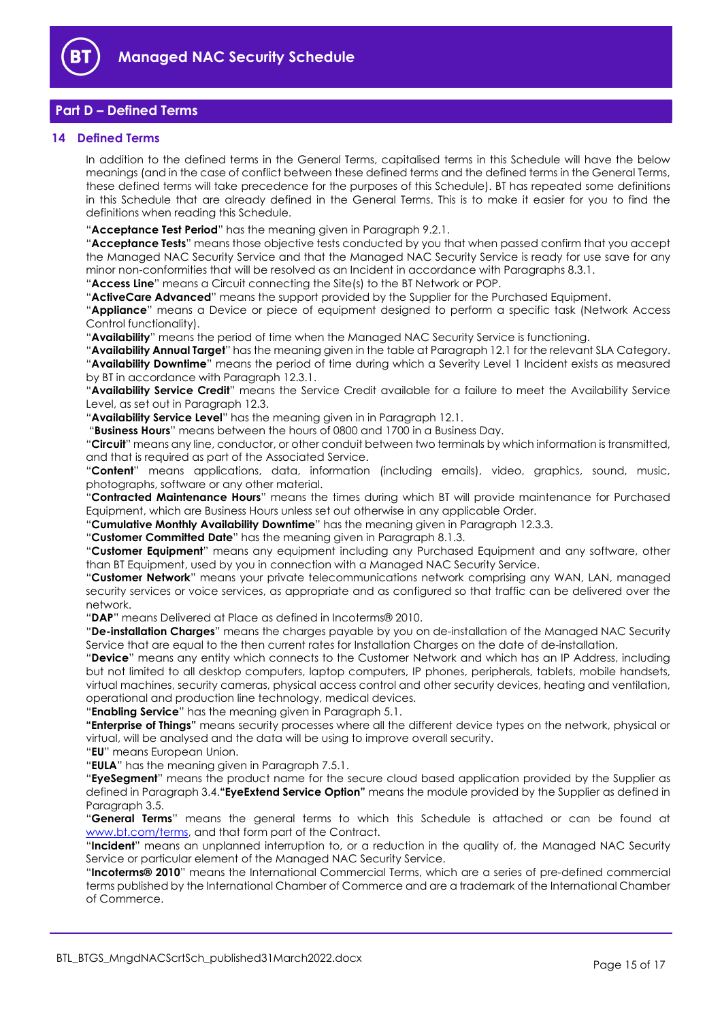

# Part D – Defined Terms

# 14 Defined Terms

In addition to the defined terms in the General Terms, capitalised terms in this Schedule will have the below meanings (and in the case of conflict between these defined terms and the defined terms in the General Terms, these defined terms will take precedence for the purposes of this Schedule). BT has repeated some definitions in this Schedule that are already defined in the General Terms. This is to make it easier for you to find the definitions when reading this Schedule.

"Acceptance Test Period" has the meaning given in Paragraph 9.2.1.

"Acceptance Tests" means those objective tests conducted by you that when passed confirm that you accept the Managed NAC Security Service and that the Managed NAC Security Service is ready for use save for any minor non-conformities that will be resolved as an Incident in accordance with Paragraphs 8.3.1.

"Access Line" means a Circuit connecting the Site(s) to the BT Network or POP.

"ActiveCare Advanced" means the support provided by the Supplier for the Purchased Equipment.

"Appliance" means a Device or piece of equipment designed to perform a specific task (Network Access Control functionality).

"Availability" means the period of time when the Managed NAC Security Service is functioning.

"Availability Annual Target" has the meaning given in the table at Paragraph 12.1 for the relevant SLA Category. "Availability Downtime" means the period of time during which a Severity Level 1 Incident exists as measured by BT in accordance with Paragraph 12.3.1.

"Availability Service Credit" means the Service Credit available for a failure to meet the Availability Service Level, as set out in Paragraph 12.3.

"Availability Service Level" has the meaning given in in Paragraph 12.1.

"Business Hours" means between the hours of 0800 and 1700 in a Business Day.

"Circuit" means any line, conductor, or other conduit between two terminals by which information is transmitted, and that is required as part of the Associated Service.

"Content" means applications, data, information (including emails), video, graphics, sound, music, photographs, software or any other material.

"Contracted Maintenance Hours" means the times during which BT will provide maintenance for Purchased Equipment, which are Business Hours unless set out otherwise in any applicable Order.

"Cumulative Monthly Availability Downtime" has the meaning given in Paragraph 12.3.3.

"Customer Committed Date" has the meaning given in Paragraph 8.1.3.

"Customer Equipment" means any equipment including any Purchased Equipment and any software, other than BT Equipment, used by you in connection with a Managed NAC Security Service.

"Customer Network" means your private telecommunications network comprising any WAN, LAN, managed security services or voice services, as appropriate and as configured so that traffic can be delivered over the network.

"DAP" means Delivered at Place as defined in Incoterms® 2010.

"De-installation Charges" means the charges payable by you on de-installation of the Managed NAC Security Service that are equal to the then current rates for Installation Charges on the date of de-installation.

"Device" means any entity which connects to the Customer Network and which has an IP Address, including but not limited to all desktop computers, laptop computers, IP phones, peripherals, tablets, mobile handsets, virtual machines, security cameras, physical access control and other security devices, heating and ventilation, operational and production line technology, medical devices.

"Enabling Service" has the meaning given in Paragraph 5.1.

"Enterprise of Things" means security processes where all the different device types on the network, physical or virtual, will be analysed and the data will be using to improve overall security.

"EU" means European Union.

"EULA" has the meaning given in Paragraph 7.5.1.

"EyeSegment" means the product name for the secure cloud based application provided by the Supplier as defined in Paragraph 3.4."**EyeExtend Service Option**" means the module provided by the Supplier as defined in Paragraph 3.5.

"General Terms" means the general terms to which this Schedule is attached or can be found at www.bt.com/terms, and that form part of the Contract.

"Incident" means an unplanned interruption to, or a reduction in the quality of, the Managed NAC Security Service or particular element of the Managed NAC Security Service.

"Incoterms® 2010" means the International Commercial Terms, which are a series of pre-defined commercial terms published by the International Chamber of Commerce and are a trademark of the International Chamber of Commerce.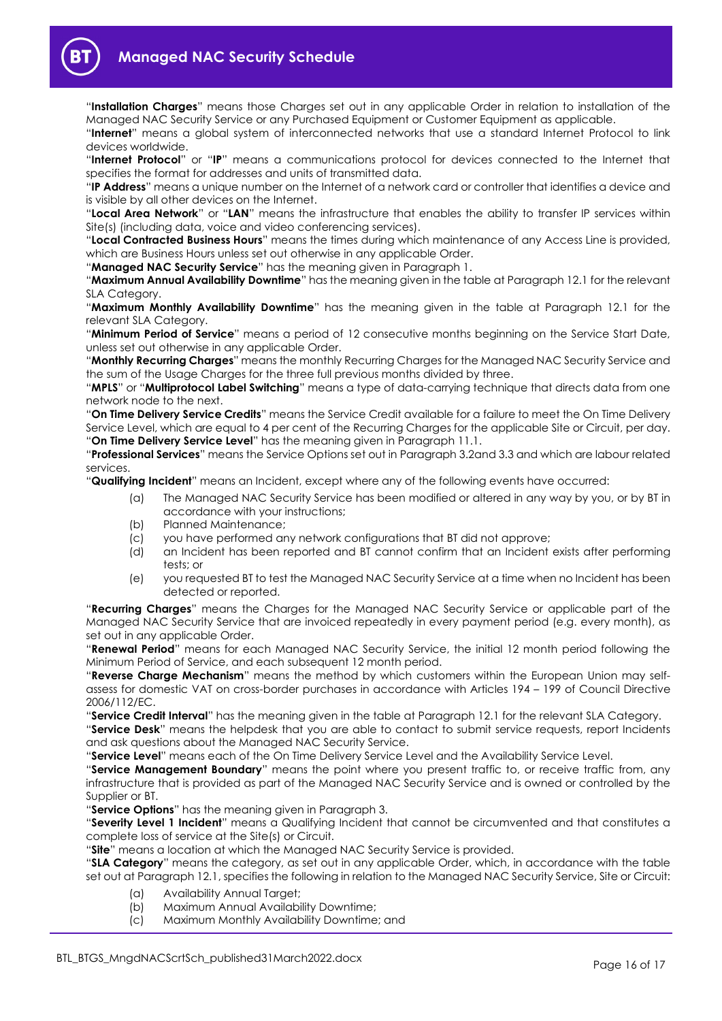

"Installation Charges" means those Charges set out in any applicable Order in relation to installation of the Managed NAC Security Service or any Purchased Equipment or Customer Equipment as applicable.

"Internet" means a global system of interconnected networks that use a standard Internet Protocol to link devices worldwide.

"Internet Protocol" or "IP" means a communications protocol for devices connected to the Internet that specifies the format for addresses and units of transmitted data.

"IP Address" means a unique number on the Internet of a network card or controller that identifies a device and is visible by all other devices on the Internet.

"Local Area Network" or "LAN" means the infrastructure that enables the ability to transfer IP services within Site(s) (including data, voice and video conferencing services).

"Local Contracted Business Hours" means the times during which maintenance of any Access Line is provided, which are Business Hours unless set out otherwise in any applicable Order.

"Managed NAC Security Service" has the meaning given in Paragraph 1.

"Maximum Annual Availability Downtime" has the meaning given in the table at Paragraph 12.1 for the relevant SLA Category.

"Maximum Monthly Availability Downtime" has the meaning given in the table at Paragraph 12.1 for the relevant SLA Category.

"Minimum Period of Service" means a period of 12 consecutive months beginning on the Service Start Date, unless set out otherwise in any applicable Order.

"Monthly Recurring Charges" means the monthly Recurring Charges for the Managed NAC Security Service and the sum of the Usage Charges for the three full previous months divided by three.

"MPLS" or "Multiprotocol Label Switching" means a type of data-carrying technique that directs data from one network node to the next.

"On Time Delivery Service Credits" means the Service Credit available for a failure to meet the On Time Delivery Service Level, which are equal to 4 per cent of the Recurring Charges for the applicable Site or Circuit, per day. "On Time Delivery Service Level" has the meaning given in Paragraph 11.1.

"Professional Services" means the Service Options set out in Paragraph 3.2and 3.3 and which are labour related services.

"Qualifying Incident" means an Incident, except where any of the following events have occurred:

- (a) The Managed NAC Security Service has been modified or altered in any way by you, or by BT in accordance with your instructions;
- (b) Planned Maintenance;
- (c) you have performed any network configurations that BT did not approve;
- (d) an Incident has been reported and BT cannot confirm that an Incident exists after performing tests; or
- (e) you requested BT to test the Managed NAC Security Service at a time when no Incident has been detected or reported.

"Recurring Charges" means the Charges for the Managed NAC Security Service or applicable part of the Managed NAC Security Service that are invoiced repeatedly in every payment period (e.g. every month), as set out in any applicable Order.

"Renewal Period" means for each Managed NAC Security Service, the initial 12 month period following the Minimum Period of Service, and each subsequent 12 month period.

"Reverse Charge Mechanism" means the method by which customers within the European Union may selfassess for domestic VAT on cross-border purchases in accordance with Articles 194 – 199 of Council Directive 2006/112/EC.

"Service Credit Interval" has the meaning given in the table at Paragraph 12.1 for the relevant SLA Category.

"Service Desk" means the helpdesk that you are able to contact to submit service requests, report Incidents and ask questions about the Managed NAC Security Service.

"Service Level" means each of the On Time Delivery Service Level and the Availability Service Level.

"Service Management Boundary" means the point where you present traffic to, or receive traffic from, any infrastructure that is provided as part of the Managed NAC Security Service and is owned or controlled by the Supplier or BT.

"Service Options" has the meaning given in Paragraph 3.

"Severity Level 1 Incident" means a Qualifying Incident that cannot be circumvented and that constitutes a complete loss of service at the Site(s) or Circuit.

"Site" means a location at which the Managed NAC Security Service is provided.

"SLA Category" means the category, as set out in any applicable Order, which, in accordance with the table set out at Paragraph 12.1, specifies the following in relation to the Managed NAC Security Service, Site or Circuit:

- (a) Availability Annual Target;
- (b) Maximum Annual Availability Downtime;
- (c) Maximum Monthly Availability Downtime; and